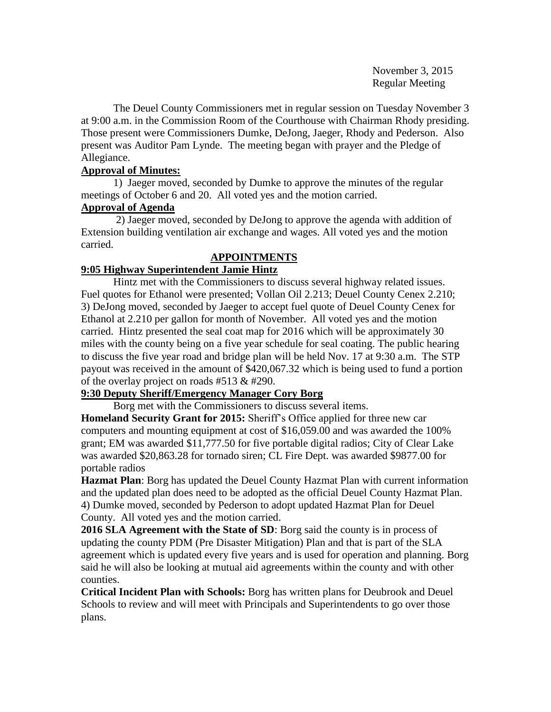November 3, 2015 Regular Meeting

The Deuel County Commissioners met in regular session on Tuesday November 3 at 9:00 a.m. in the Commission Room of the Courthouse with Chairman Rhody presiding. Those present were Commissioners Dumke, DeJong, Jaeger, Rhody and Pederson. Also present was Auditor Pam Lynde. The meeting began with prayer and the Pledge of Allegiance.

# **Approval of Minutes:**

1) Jaeger moved, seconded by Dumke to approve the minutes of the regular meetings of October 6 and 20. All voted yes and the motion carried.

#### **Approval of Agenda**

2) Jaeger moved, seconded by DeJong to approve the agenda with addition of Extension building ventilation air exchange and wages. All voted yes and the motion carried.

# **APPOINTMENTS**

# **9:05 Highway Superintendent Jamie Hintz**

Hintz met with the Commissioners to discuss several highway related issues. Fuel quotes for Ethanol were presented; Vollan Oil 2.213; Deuel County Cenex 2.210; 3) DeJong moved, seconded by Jaeger to accept fuel quote of Deuel County Cenex for Ethanol at 2.210 per gallon for month of November. All voted yes and the motion carried. Hintz presented the seal coat map for 2016 which will be approximately 30 miles with the county being on a five year schedule for seal coating. The public hearing to discuss the five year road and bridge plan will be held Nov. 17 at 9:30 a.m. The STP payout was received in the amount of \$420,067.32 which is being used to fund a portion of the overlay project on roads #513 & #290.

# **9:30 Deputy Sheriff/Emergency Manager Cory Borg**

Borg met with the Commissioners to discuss several items.

**Homeland Security Grant for 2015:** Sheriff's Office applied for three new car computers and mounting equipment at cost of \$16,059.00 and was awarded the 100% grant; EM was awarded \$11,777.50 for five portable digital radios; City of Clear Lake was awarded \$20,863.28 for tornado siren; CL Fire Dept. was awarded \$9877.00 for portable radios

**Hazmat Plan**: Borg has updated the Deuel County Hazmat Plan with current information and the updated plan does need to be adopted as the official Deuel County Hazmat Plan. 4) Dumke moved, seconded by Pederson to adopt updated Hazmat Plan for Deuel County. All voted yes and the motion carried.

**2016 SLA Agreement with the State of SD**: Borg said the county is in process of updating the county PDM (Pre Disaster Mitigation) Plan and that is part of the SLA agreement which is updated every five years and is used for operation and planning. Borg said he will also be looking at mutual aid agreements within the county and with other counties.

**Critical Incident Plan with Schools:** Borg has written plans for Deubrook and Deuel Schools to review and will meet with Principals and Superintendents to go over those plans.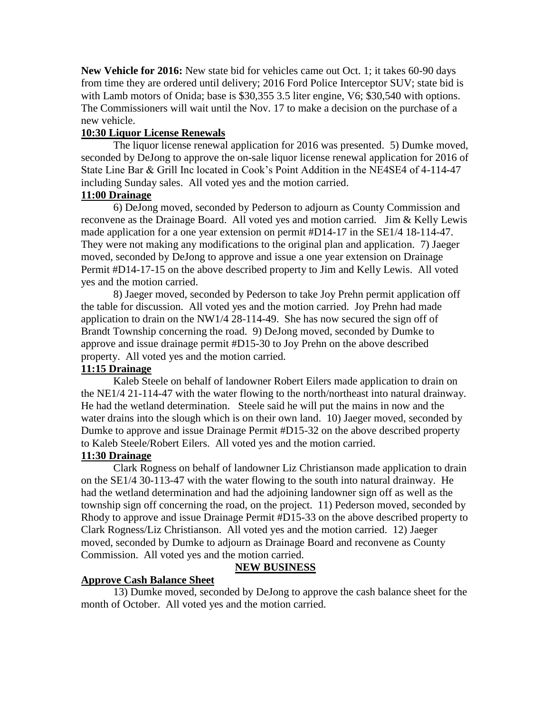**New Vehicle for 2016:** New state bid for vehicles came out Oct. 1; it takes 60-90 days from time they are ordered until delivery; 2016 Ford Police Interceptor SUV; state bid is with Lamb motors of Onida; base is \$30,355 3.5 liter engine, V6; \$30,540 with options. The Commissioners will wait until the Nov. 17 to make a decision on the purchase of a new vehicle.

#### **10:30 Liquor License Renewals**

The liquor license renewal application for 2016 was presented. 5) Dumke moved, seconded by DeJong to approve the on-sale liquor license renewal application for 2016 of State Line Bar & Grill Inc located in Cook's Point Addition in the NE4SE4 of 4-114-47 including Sunday sales. All voted yes and the motion carried.

#### **11:00 Drainage**

6) DeJong moved, seconded by Pederson to adjourn as County Commission and reconvene as the Drainage Board. All voted yes and motion carried. Jim & Kelly Lewis made application for a one year extension on permit #D14-17 in the SE1/4 18-114-47. They were not making any modifications to the original plan and application. 7) Jaeger moved, seconded by DeJong to approve and issue a one year extension on Drainage Permit #D14-17-15 on the above described property to Jim and Kelly Lewis. All voted yes and the motion carried.

8) Jaeger moved, seconded by Pederson to take Joy Prehn permit application off the table for discussion. All voted yes and the motion carried. Joy Prehn had made application to drain on the NW1/4 28-114-49. She has now secured the sign off of Brandt Township concerning the road. 9) DeJong moved, seconded by Dumke to approve and issue drainage permit #D15-30 to Joy Prehn on the above described property. All voted yes and the motion carried.

# **11:15 Drainage**

Kaleb Steele on behalf of landowner Robert Eilers made application to drain on the NE1/4 21-114-47 with the water flowing to the north/northeast into natural drainway. He had the wetland determination. Steele said he will put the mains in now and the water drains into the slough which is on their own land. 10) Jaeger moved, seconded by Dumke to approve and issue Drainage Permit #D15-32 on the above described property to Kaleb Steele/Robert Eilers. All voted yes and the motion carried.

# **11:30 Drainage**

Clark Rogness on behalf of landowner Liz Christianson made application to drain on the SE1/4 30-113-47 with the water flowing to the south into natural drainway. He had the wetland determination and had the adjoining landowner sign off as well as the township sign off concerning the road, on the project. 11) Pederson moved, seconded by Rhody to approve and issue Drainage Permit #D15-33 on the above described property to Clark Rogness/Liz Christianson. All voted yes and the motion carried. 12) Jaeger moved, seconded by Dumke to adjourn as Drainage Board and reconvene as County Commission. All voted yes and the motion carried.

# **NEW BUSINESS**

# **Approve Cash Balance Sheet**

13) Dumke moved, seconded by DeJong to approve the cash balance sheet for the month of October. All voted yes and the motion carried.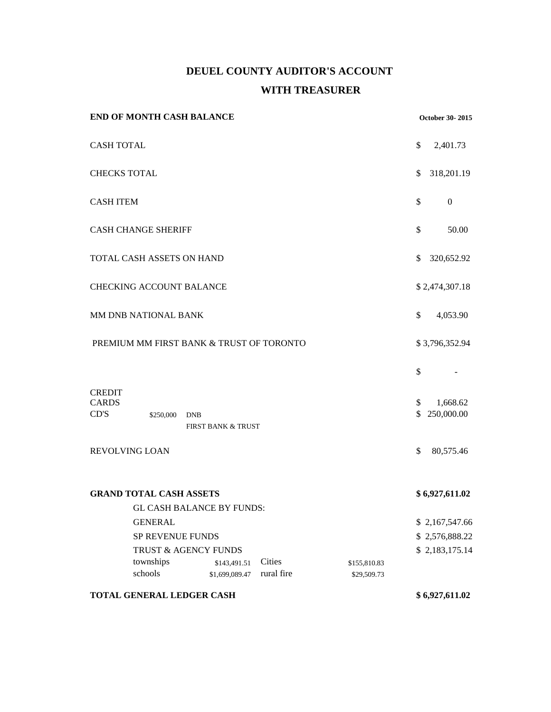# **DEUEL COUNTY AUDITOR'S ACCOUNT WITH TREASURER**

| <b>END OF MONTH CASH BALANCE</b>                                                                  |                              | October 30-2015 |                |                        |
|---------------------------------------------------------------------------------------------------|------------------------------|-----------------|----------------|------------------------|
| <b>CASH TOTAL</b>                                                                                 |                              |                 | \$             | 2,401.73               |
| <b>CHECKS TOTAL</b>                                                                               |                              |                 | \$             | 318,201.19             |
| <b>CASH ITEM</b>                                                                                  |                              |                 | \$             | $\boldsymbol{0}$       |
| <b>CASH CHANGE SHERIFF</b>                                                                        |                              |                 | \$             | 50.00                  |
| TOTAL CASH ASSETS ON HAND                                                                         |                              |                 | \$             | 320,652.92             |
| <b>CHECKING ACCOUNT BALANCE</b>                                                                   |                              |                 |                | \$2,474,307.18         |
| MM DNB NATIONAL BANK                                                                              |                              |                 | \$             | 4,053.90               |
| PREMIUM MM FIRST BANK & TRUST OF TORONTO                                                          |                              |                 |                | \$3,796,352.94         |
|                                                                                                   |                              |                 | \$             |                        |
| <b>CREDIT</b><br><b>CARDS</b><br>CD'S<br>\$250,000<br><b>DNB</b><br><b>FIRST BANK &amp; TRUST</b> |                              |                 | \$<br>\$       | 1,668.62<br>250,000.00 |
| REVOLVING LOAN                                                                                    |                              |                 | \$             | 80,575.46              |
| <b>GRAND TOTAL CASH ASSETS</b><br><b>GL CASH BALANCE BY FUNDS:</b>                                |                              |                 | \$6,927,611.02 |                        |
| <b>GENERAL</b>                                                                                    |                              |                 |                | \$2,167,547.66         |
| SP REVENUE FUNDS                                                                                  |                              |                 |                | \$2,576,888.22         |
| TRUST & AGENCY FUNDS                                                                              |                              |                 |                | \$2,183,175.14         |
| townships                                                                                         | Cities<br>\$143,491.51       | \$155,810.83    |                |                        |
| schools                                                                                           | rural fire<br>\$1,699,089.47 | \$29,509.73     |                |                        |
| TOTAL GENERAL LEDGER CASH                                                                         |                              |                 |                | \$6,927,611.02         |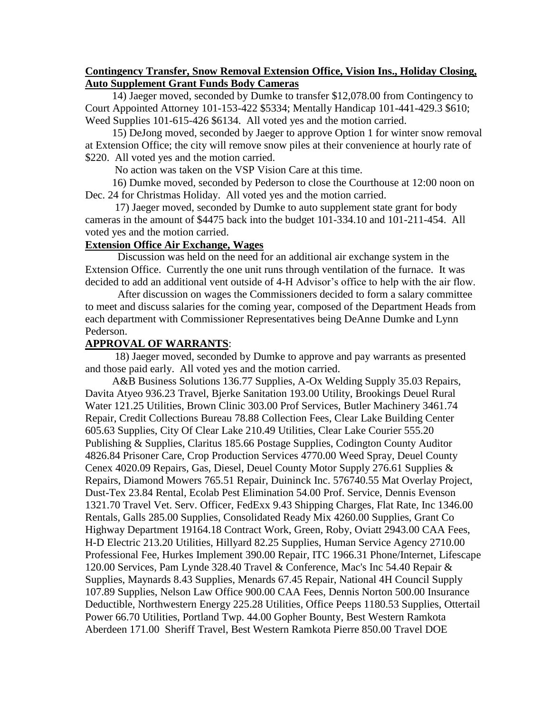#### **Contingency Transfer, Snow Removal Extension Office, Vision Ins., Holiday Closing, Auto Supplement Grant Funds Body Cameras**

 14) Jaeger moved, seconded by Dumke to transfer \$12,078.00 from Contingency to Court Appointed Attorney 101-153-422 \$5334; Mentally Handicap 101-441-429.3 \$610; Weed Supplies 101-615-426 \$6134. All voted yes and the motion carried.

 15) DeJong moved, seconded by Jaeger to approve Option 1 for winter snow removal at Extension Office; the city will remove snow piles at their convenience at hourly rate of \$220. All voted yes and the motion carried.

No action was taken on the VSP Vision Care at this time.

 16) Dumke moved, seconded by Pederson to close the Courthouse at 12:00 noon on Dec. 24 for Christmas Holiday. All voted yes and the motion carried.

 17) Jaeger moved, seconded by Dumke to auto supplement state grant for body cameras in the amount of \$4475 back into the budget 101-334.10 and 101-211-454. All voted yes and the motion carried.

#### **Extension Office Air Exchange, Wages**

Discussion was held on the need for an additional air exchange system in the Extension Office. Currently the one unit runs through ventilation of the furnace. It was decided to add an additional vent outside of 4-H Advisor's office to help with the air flow.

After discussion on wages the Commissioners decided to form a salary committee to meet and discuss salaries for the coming year, composed of the Department Heads from each department with Commissioner Representatives being DeAnne Dumke and Lynn Pederson.

#### **APPROVAL OF WARRANTS**:

 18) Jaeger moved, seconded by Dumke to approve and pay warrants as presented and those paid early. All voted yes and the motion carried.

 A&B Business Solutions 136.77 Supplies, A-Ox Welding Supply 35.03 Repairs, Davita Atyeo 936.23 Travel, Bjerke Sanitation 193.00 Utility, Brookings Deuel Rural Water 121.25 Utilities, Brown Clinic 303.00 Prof Services, Butler Machinery 3461.74 Repair, Credit Collections Bureau 78.88 Collection Fees, Clear Lake Building Center 605.63 Supplies, City Of Clear Lake 210.49 Utilities, Clear Lake Courier 555.20 Publishing & Supplies, Claritus 185.66 Postage Supplies, Codington County Auditor 4826.84 Prisoner Care, Crop Production Services 4770.00 Weed Spray, Deuel County Cenex 4020.09 Repairs, Gas, Diesel, Deuel County Motor Supply 276.61 Supplies & Repairs, Diamond Mowers 765.51 Repair, Duininck Inc. 576740.55 Mat Overlay Project, Dust-Tex 23.84 Rental, Ecolab Pest Elimination 54.00 Prof. Service, Dennis Evenson 1321.70 Travel Vet. Serv. Officer, FedExx 9.43 Shipping Charges, Flat Rate, Inc 1346.00 Rentals, Galls 285.00 Supplies, Consolidated Ready Mix 4260.00 Supplies, Grant Co Highway Department 19164.18 Contract Work, Green, Roby, Oviatt 2943.00 CAA Fees, H-D Electric 213.20 Utilities, Hillyard 82.25 Supplies, Human Service Agency 2710.00 Professional Fee, Hurkes Implement 390.00 Repair, ITC 1966.31 Phone/Internet, Lifescape 120.00 Services, Pam Lynde 328.40 Travel & Conference, Mac's Inc 54.40 Repair & Supplies, Maynards 8.43 Supplies, Menards 67.45 Repair, National 4H Council Supply 107.89 Supplies, Nelson Law Office 900.00 CAA Fees, Dennis Norton 500.00 Insurance Deductible, Northwestern Energy 225.28 Utilities, Office Peeps 1180.53 Supplies, Ottertail Power 66.70 Utilities, Portland Twp. 44.00 Gopher Bounty, Best Western Ramkota Aberdeen 171.00 Sheriff Travel, Best Western Ramkota Pierre 850.00 Travel DOE